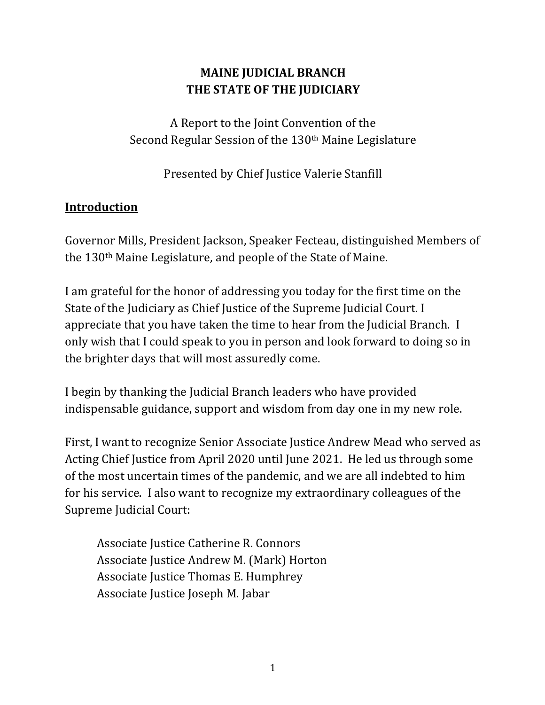# **MAINE JUDICIAL BRANCH THE STATE OF THE JUDICIARY**

A Report to the Joint Convention of the Second Regular Session of the 130<sup>th</sup> Maine Legislature

Presented by Chief Justice Valerie Stanfill

## **Introduction**

Governor Mills, President Jackson, Speaker Fecteau, distinguished Members of the  $130<sup>th</sup>$  Maine Legislature, and people of the State of Maine.

I am grateful for the honor of addressing you today for the first time on the State of the Judiciary as Chief Justice of the Supreme Judicial Court. I appreciate that you have taken the time to hear from the Judicial Branch. I only wish that I could speak to you in person and look forward to doing so in the brighter days that will most assuredly come.

I begin by thanking the Judicial Branch leaders who have provided indispensable guidance, support and wisdom from day one in my new role.

First, I want to recognize Senior Associate Justice Andrew Mead who served as Acting Chief Justice from April 2020 until June 2021. He led us through some of the most uncertain times of the pandemic, and we are all indebted to him for his service. I also want to recognize my extraordinary colleagues of the Supreme Judicial Court:

Associate Justice Catherine R. Connors Associate Justice Andrew M. (Mark) Horton Associate Justice Thomas E. Humphrey Associate Justice Joseph M. Jabar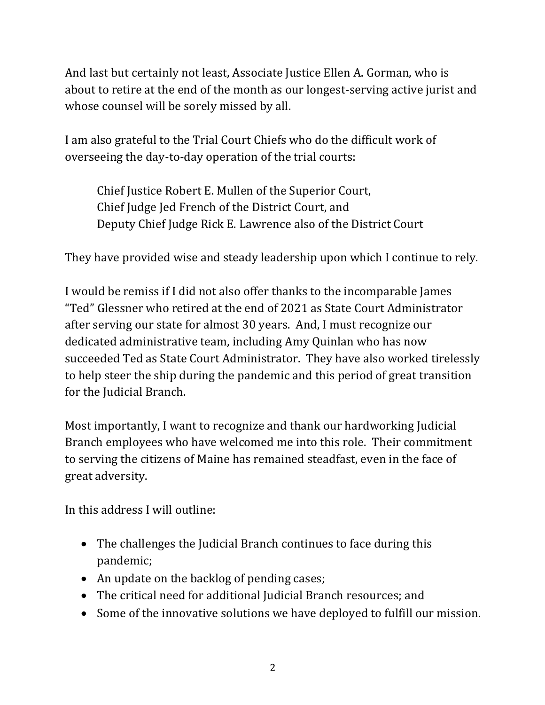And last but certainly not least, Associate Justice Ellen A. Gorman, who is about to retire at the end of the month as our longest-serving active jurist and whose counsel will be sorely missed by all.

I am also grateful to the Trial Court Chiefs who do the difficult work of overseeing the day-to-day operation of the trial courts:

Chief Justice Robert E. Mullen of the Superior Court, Chief Judge Jed French of the District Court, and Deputy Chief Judge Rick E. Lawrence also of the District Court

They have provided wise and steady leadership upon which I continue to rely.

I would be remiss if I did not also offer thanks to the incomparable James "Ted" Glessner who retired at the end of 2021 as State Court Administrator after serving our state for almost 30 years. And, I must recognize our dedicated administrative team, including Amy Quinlan who has now succeeded Ted as State Court Administrator. They have also worked tirelessly to help steer the ship during the pandemic and this period of great transition for the Judicial Branch.

Most importantly, I want to recognize and thank our hardworking Judicial Branch employees who have welcomed me into this role. Their commitment to serving the citizens of Maine has remained steadfast, even in the face of great adversity.

In this address I will outline:

- The challenges the Judicial Branch continues to face during this pandemic;
- An update on the backlog of pending cases;
- The critical need for additional Judicial Branch resources; and
- Some of the innovative solutions we have deployed to fulfill our mission.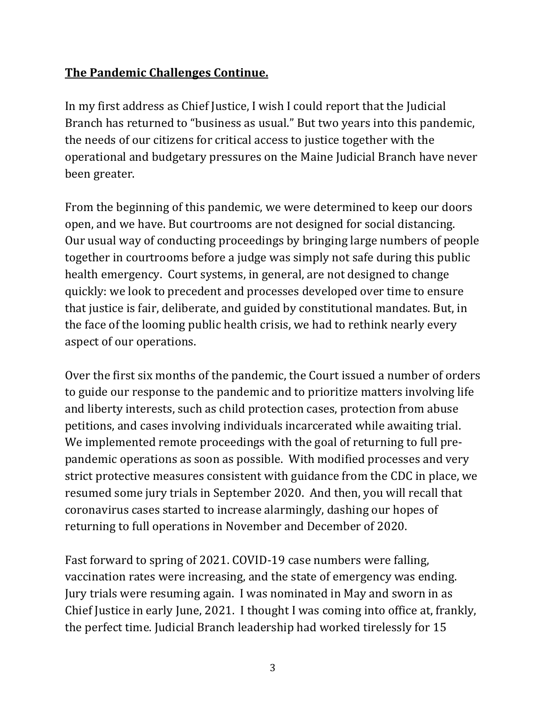# **The Pandemic Challenges Continue.**

In my first address as Chief Justice, I wish I could report that the Judicial Branch has returned to "business as usual." But two years into this pandemic, the needs of our citizens for critical access to justice together with the operational and budgetary pressures on the Maine Judicial Branch have never been greater.

From the beginning of this pandemic, we were determined to keep our doors open, and we have. But courtrooms are not designed for social distancing. Our usual way of conducting proceedings by bringing large numbers of people together in courtrooms before a judge was simply not safe during this public health emergency. Court systems, in general, are not designed to change quickly: we look to precedent and processes developed over time to ensure that justice is fair, deliberate, and guided by constitutional mandates. But, in the face of the looming public health crisis, we had to rethink nearly every aspect of our operations.

Over the first six months of the pandemic, the Court issued a number of orders to guide our response to the pandemic and to prioritize matters involving life and liberty interests, such as child protection cases, protection from abuse petitions, and cases involving individuals incarcerated while awaiting trial. We implemented remote proceedings with the goal of returning to full prepandemic operations as soon as possible. With modified processes and very strict protective measures consistent with guidance from the CDC in place, we resumed some jury trials in September 2020. And then, you will recall that coronavirus cases started to increase alarmingly, dashing our hopes of returning to full operations in November and December of 2020.

Fast forward to spring of 2021. COVID-19 case numbers were falling, vaccination rates were increasing, and the state of emergency was ending. Jury trials were resuming again. I was nominated in May and sworn in as Chief Justice in early June, 2021. I thought I was coming into office at, frankly, the perfect time. Judicial Branch leadership had worked tirelessly for 15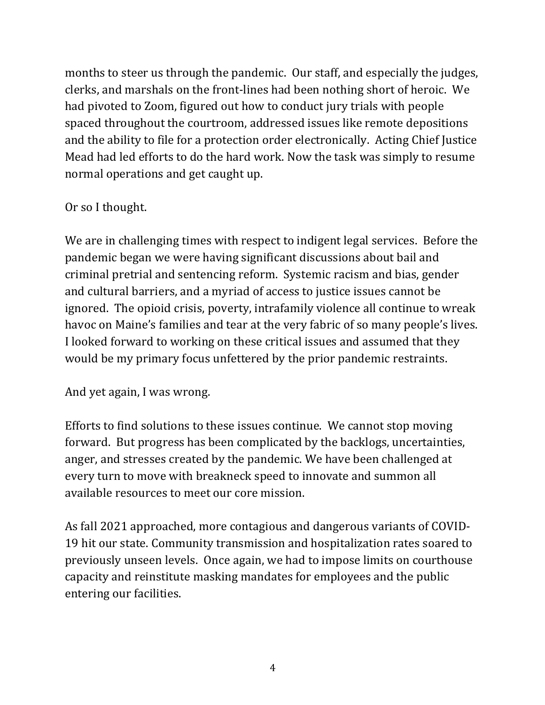months to steer us through the pandemic. Our staff, and especially the judges, clerks, and marshals on the front-lines had been nothing short of heroic. We had pivoted to Zoom, figured out how to conduct jury trials with people spaced throughout the courtroom, addressed issues like remote depositions and the ability to file for a protection order electronically. Acting Chief Justice Mead had led efforts to do the hard work. Now the task was simply to resume normal operations and get caught up.

#### Or so I thought.

We are in challenging times with respect to indigent legal services. Before the pandemic began we were having significant discussions about bail and criminal pretrial and sentencing reform. Systemic racism and bias, gender and cultural barriers, and a myriad of access to justice issues cannot be ignored. The opioid crisis, poverty, intrafamily violence all continue to wreak havoc on Maine's families and tear at the very fabric of so many people's lives. I looked forward to working on these critical issues and assumed that they would be my primary focus unfettered by the prior pandemic restraints.

And yet again, I was wrong.

Efforts to find solutions to these issues continue. We cannot stop moving forward. But progress has been complicated by the backlogs, uncertainties, anger, and stresses created by the pandemic. We have been challenged at every turn to move with breakneck speed to innovate and summon all available resources to meet our core mission.

As fall 2021 approached, more contagious and dangerous variants of COVID-19 hit our state. Community transmission and hospitalization rates soared to previously unseen levels. Once again, we had to impose limits on courthouse capacity and reinstitute masking mandates for employees and the public entering our facilities.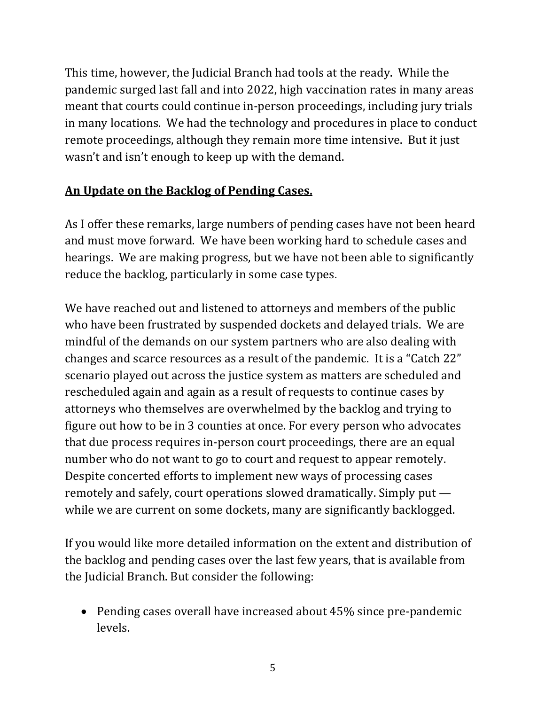This time, however, the Judicial Branch had tools at the ready. While the pandemic surged last fall and into 2022, high vaccination rates in many areas meant that courts could continue in-person proceedings, including jury trials in many locations. We had the technology and procedures in place to conduct remote proceedings, although they remain more time intensive. But it just wasn't and isn't enough to keep up with the demand.

#### An Update on the Backlog of Pending Cases.

As I offer these remarks, large numbers of pending cases have not been heard and must move forward. We have been working hard to schedule cases and hearings. We are making progress, but we have not been able to significantly reduce the backlog, particularly in some case types.

We have reached out and listened to attorneys and members of the public who have been frustrated by suspended dockets and delayed trials. We are mindful of the demands on our system partners who are also dealing with changes and scarce resources as a result of the pandemic. It is a "Catch 22" scenario played out across the justice system as matters are scheduled and rescheduled again and again as a result of requests to continue cases by attorneys who themselves are overwhelmed by the backlog and trying to figure out how to be in 3 counties at once. For every person who advocates that due process requires in-person court proceedings, there are an equal number who do not want to go to court and request to appear remotely. Despite concerted efforts to implement new ways of processing cases remotely and safely, court operations slowed dramatically. Simply put  $$ while we are current on some dockets, many are significantly backlogged.

If you would like more detailed information on the extent and distribution of the backlog and pending cases over the last few years, that is available from the Judicial Branch. But consider the following:

• Pending cases overall have increased about 45% since pre-pandemic levels.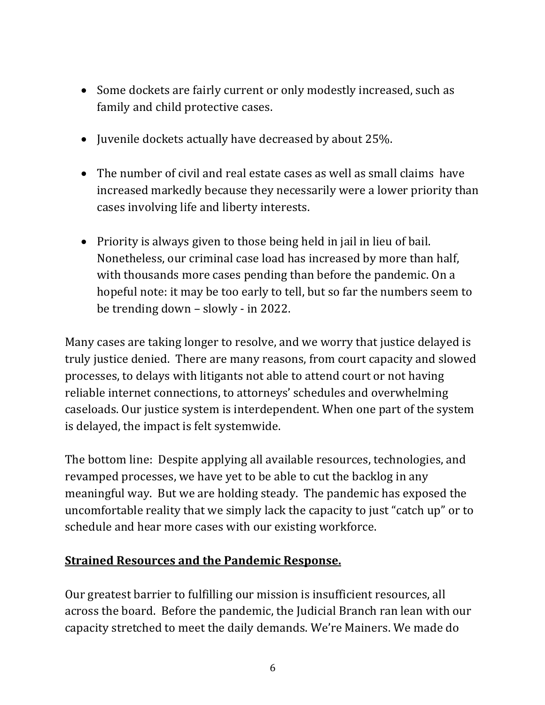- Some dockets are fairly current or only modestly increased, such as family and child protective cases.
- Juvenile dockets actually have decreased by about 25%.
- The number of civil and real estate cases as well as small claims have increased markedly because they necessarily were a lower priority than cases involving life and liberty interests.
- Priority is always given to those being held in jail in lieu of bail. Nonetheless, our criminal case load has increased by more than half, with thousands more cases pending than before the pandemic. On a hopeful note: it may be too early to tell, but so far the numbers seem to be trending down  $-$  slowly  $-$  in 2022.

Many cases are taking longer to resolve, and we worry that justice delayed is truly justice denied. There are many reasons, from court capacity and slowed processes, to delays with litigants not able to attend court or not having reliable internet connections, to attorneys' schedules and overwhelming caseloads. Our justice system is interdependent. When one part of the system is delayed, the impact is felt systemwide.

The bottom line: Despite applying all available resources, technologies, and revamped processes, we have yet to be able to cut the backlog in any meaningful way. But we are holding steady. The pandemic has exposed the uncomfortable reality that we simply lack the capacity to just "catch up" or to schedule and hear more cases with our existing workforce.

## **<u>Strained Resources and the Pandemic Response.</u>**

Our greatest barrier to fulfilling our mission is insufficient resources, all across the board. Before the pandemic, the Judicial Branch ran lean with our capacity stretched to meet the daily demands. We're Mainers. We made do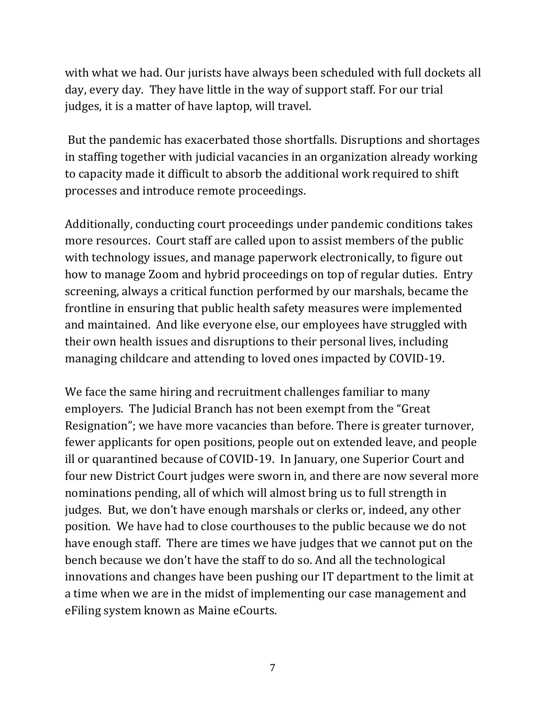with what we had. Our jurists have always been scheduled with full dockets all day, every day. They have little in the way of support staff. For our trial judges, it is a matter of have laptop, will travel.

But the pandemic has exacerbated those shortfalls. Disruptions and shortages in staffing together with judicial vacancies in an organization already working to capacity made it difficult to absorb the additional work required to shift processes and introduce remote proceedings.

Additionally, conducting court proceedings under pandemic conditions takes more resources. Court staff are called upon to assist members of the public with technology issues, and manage paperwork electronically, to figure out how to manage Zoom and hybrid proceedings on top of regular duties. Entry screening, always a critical function performed by our marshals, became the frontline in ensuring that public health safety measures were implemented and maintained. And like everyone else, our employees have struggled with their own health issues and disruptions to their personal lives, including managing childcare and attending to loved ones impacted by COVID-19.

We face the same hiring and recruitment challenges familiar to many employers. The Judicial Branch has not been exempt from the "Great Resignation"; we have more vacancies than before. There is greater turnover, fewer applicants for open positions, people out on extended leave, and people ill or quarantined because of COVID-19. In January, one Superior Court and four new District Court judges were sworn in, and there are now several more nominations pending, all of which will almost bring us to full strength in judges. But, we don't have enough marshals or clerks or, indeed, any other position. We have had to close courthouses to the public because we do not have enough staff. There are times we have judges that we cannot put on the bench because we don't have the staff to do so. And all the technological innovations and changes have been pushing our IT department to the limit at a time when we are in the midst of implementing our case management and eFiling system known as Maine eCourts.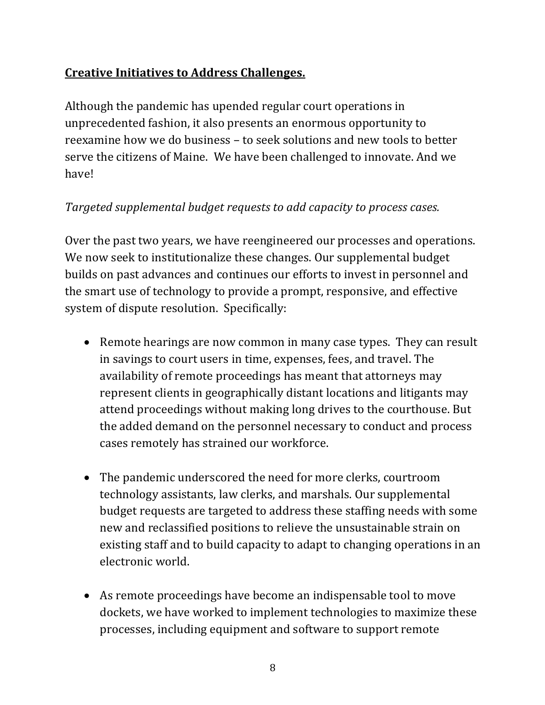# **Creative Initiatives to Address Challenges.**

Although the pandemic has upended regular court operations in unprecedented fashion, it also presents an enormous opportunity to reexamine how we do business - to seek solutions and new tools to better serve the citizens of Maine. We have been challenged to innovate. And we have!

## *Targeted supplemental budget requests to add capacity to process cases.*

Over the past two years, we have reengineered our processes and operations. We now seek to institutionalize these changes. Our supplemental budget builds on past advances and continues our efforts to invest in personnel and the smart use of technology to provide a prompt, responsive, and effective system of dispute resolution. Specifically:

- Remote hearings are now common in many case types. They can result in savings to court users in time, expenses, fees, and travel. The availability of remote proceedings has meant that attorneys may represent clients in geographically distant locations and litigants may attend proceedings without making long drives to the courthouse. But the added demand on the personnel necessary to conduct and process cases remotely has strained our workforce.
- The pandemic underscored the need for more clerks, courtroom technology assistants, law clerks, and marshals. Our supplemental budget requests are targeted to address these staffing needs with some new and reclassified positions to relieve the unsustainable strain on existing staff and to build capacity to adapt to changing operations in an electronic world.
- As remote proceedings have become an indispensable tool to move dockets, we have worked to implement technologies to maximize these processes, including equipment and software to support remote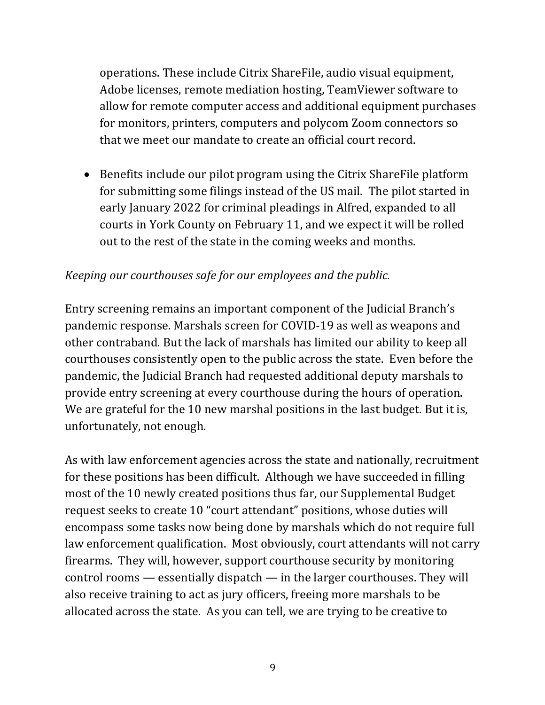operations. These include Citrix ShareFile, audio visual equipment, Adobe licenses, remote mediation hosting, TeamViewer software to allow for remote computer access and additional equipment purchases for monitors, printers, computers and polycom Zoom connectors so that we meet our mandate to create an official court record.

• Benefits include our pilot program using the Citrix ShareFile platform for submitting some filings instead of the US mail. The pilot started in early January 2022 for criminal pleadings in Alfred, expanded to all courts in York County on February 11, and we expect it will be rolled out to the rest of the state in the coming weeks and months.

#### *Keeping our courthouses safe for our employees and the public.*

Entry screening remains an important component of the Judicial Branch's pandemic response. Marshals screen for COVID-19 as well as weapons and other contraband. But the lack of marshals has limited our ability to keep all courthouses consistently open to the public across the state. Even before the pandemic, the Judicial Branch had requested additional deputy marshals to provide entry screening at every courthouse during the hours of operation. We are grateful for the 10 new marshal positions in the last budget. But it is, unfortunately, not enough.

As with law enforcement agencies across the state and nationally, recruitment for these positions has been difficult. Although we have succeeded in filling most of the 10 newly created positions thus far, our Supplemental Budget request seeks to create 10 "court attendant" positions, whose duties will encompass some tasks now being done by marshals which do not require full law enforcement qualification. Most obviously, court attendants will not carry firearms. They will, however, support courthouse security by monitoring  $control$  rooms  $-$  essentially dispatch  $-$  in the larger courthouses. They will also receive training to act as jury officers, freeing more marshals to be allocated across the state. As you can tell, we are trying to be creative to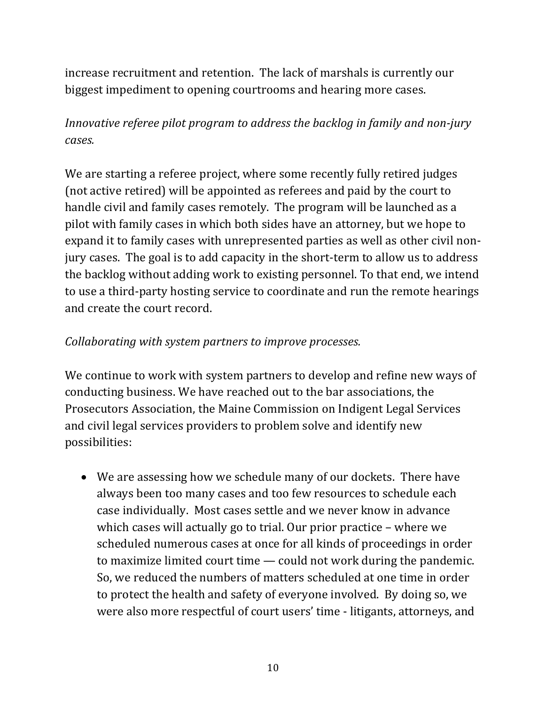increase recruitment and retention. The lack of marshals is currently our biggest impediment to opening courtrooms and hearing more cases.

# *Innovative referee pilot program to address the backlog in family and non-jury cases.*

We are starting a referee project, where some recently fully retired judges (not active retired) will be appointed as referees and paid by the court to handle civil and family cases remotely. The program will be launched as a pilot with family cases in which both sides have an attorney, but we hope to expand it to family cases with unrepresented parties as well as other civil nonjury cases. The goal is to add capacity in the short-term to allow us to address the backlog without adding work to existing personnel. To that end, we intend to use a third-party hosting service to coordinate and run the remote hearings and create the court record.

#### *Collaborating with system partners to improve processes.*

We continue to work with system partners to develop and refine new ways of conducting business. We have reached out to the bar associations, the Prosecutors Association, the Maine Commission on Indigent Legal Services and civil legal services providers to problem solve and identify new possibilities: 

• We are assessing how we schedule many of our dockets. There have always been too many cases and too few resources to schedule each case individually. Most cases settle and we never know in advance which cases will actually go to trial. Our prior practice  $-$  where we scheduled numerous cases at once for all kinds of proceedings in order to maximize limited court time  $-$  could not work during the pandemic. So, we reduced the numbers of matters scheduled at one time in order to protect the health and safety of everyone involved. By doing so, we were also more respectful of court users' time - litigants, attorneys, and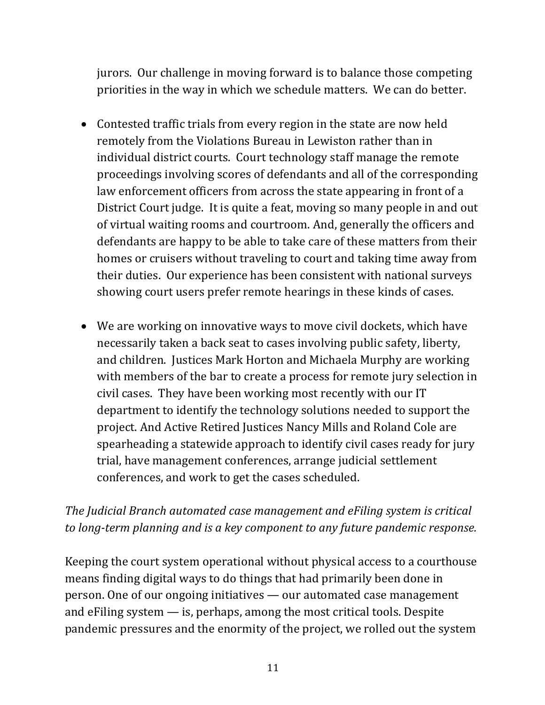jurors. Our challenge in moving forward is to balance those competing priorities in the way in which we schedule matters. We can do better.

- Contested traffic trials from every region in the state are now held remotely from the Violations Bureau in Lewiston rather than in individual district courts. Court technology staff manage the remote proceedings involving scores of defendants and all of the corresponding law enforcement officers from across the state appearing in front of a District Court judge. It is quite a feat, moving so many people in and out of virtual waiting rooms and courtroom. And, generally the officers and defendants are happy to be able to take care of these matters from their homes or cruisers without traveling to court and taking time away from their duties. Our experience has been consistent with national surveys showing court users prefer remote hearings in these kinds of cases.
- We are working on innovative ways to move civil dockets, which have necessarily taken a back seat to cases involving public safety, liberty, and children. Justices Mark Horton and Michaela Murphy are working with members of the bar to create a process for remote jury selection in civil cases. They have been working most recently with our IT department to identify the technology solutions needed to support the project. And Active Retired Justices Nancy Mills and Roland Cole are spearheading a statewide approach to identify civil cases ready for jury trial, have management conferences, arrange judicial settlement conferences, and work to get the cases scheduled.

# The Judicial Branch automated case management and eFiling system is critical *to* long-term planning and is a key component to any future pandemic response.

Keeping the court system operational without physical access to a courthouse means finding digital ways to do things that had primarily been done in person. One of our ongoing initiatives — our automated case management and  $eFiling system - is$ , perhaps, among the most critical tools. Despite pandemic pressures and the enormity of the project, we rolled out the system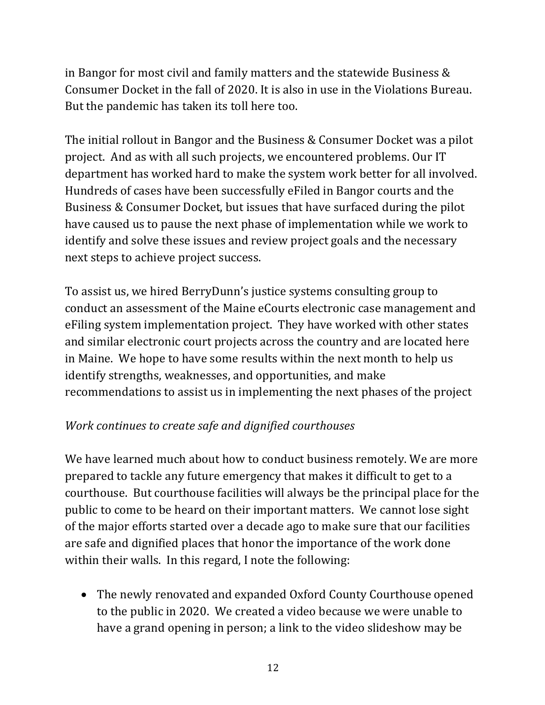in Bangor for most civil and family matters and the statewide Business  $&$ Consumer Docket in the fall of 2020. It is also in use in the Violations Bureau. But the pandemic has taken its toll here too.

The initial rollout in Bangor and the Business & Consumer Docket was a pilot project. And as with all such projects, we encountered problems. Our IT department has worked hard to make the system work better for all involved. Hundreds of cases have been successfully eFiled in Bangor courts and the Business & Consumer Docket, but issues that have surfaced during the pilot have caused us to pause the next phase of implementation while we work to identify and solve these issues and review project goals and the necessary next steps to achieve project success.

To assist us, we hired BerryDunn's justice systems consulting group to conduct an assessment of the Maine eCourts electronic case management and eFiling system implementation project. They have worked with other states and similar electronic court projects across the country and are located here in Maine. We hope to have some results within the next month to help us identify strengths, weaknesses, and opportunities, and make recommendations to assist us in implementing the next phases of the project

## *Work continues to create safe and dignified courthouses*

We have learned much about how to conduct business remotely. We are more prepared to tackle any future emergency that makes it difficult to get to a courthouse. But courthouse facilities will always be the principal place for the public to come to be heard on their important matters. We cannot lose sight of the major efforts started over a decade ago to make sure that our facilities are safe and dignified places that honor the importance of the work done within their walls. In this regard, I note the following:

• The newly renovated and expanded Oxford County Courthouse opened to the public in 2020. We created a video because we were unable to have a grand opening in person; a link to the video slideshow may be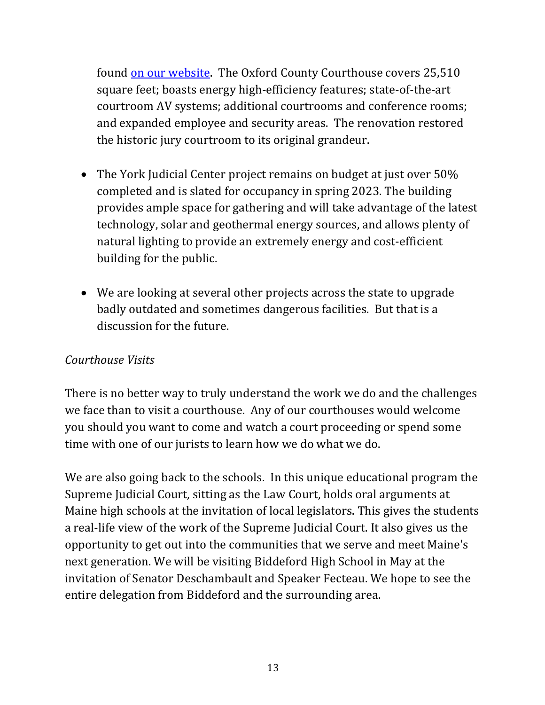found on our website. The Oxford County Courthouse covers 25,510 square feet; boasts energy high-efficiency features; state-of-the-art courtroom AV systems; additional courtrooms and conference rooms; and expanded employee and security areas. The renovation restored the historic jury courtroom to its original grandeur.

- The York Judicial Center project remains on budget at just over 50% completed and is slated for occupancy in spring 2023. The building provides ample space for gathering and will take advantage of the latest technology, solar and geothermal energy sources, and allows plenty of natural lighting to provide an extremely energy and cost-efficient building for the public.
- We are looking at several other projects across the state to upgrade badly outdated and sometimes dangerous facilities. But that is a discussion for the future.

#### *Courthouse Visits*

There is no better way to truly understand the work we do and the challenges we face than to visit a courthouse. Any of our courthouses would welcome you should you want to come and watch a court proceeding or spend some time with one of our jurists to learn how we do what we do.

We are also going back to the schools. In this unique educational program the Supreme Judicial Court, sitting as the Law Court, holds oral arguments at Maine high schools at the invitation of local legislators. This gives the students a real-life view of the work of the Supreme Judicial Court. It also gives us the opportunity to get out into the communities that we serve and meet Maine's next generation. We will be visiting Biddeford High School in May at the invitation of Senator Deschambault and Speaker Fecteau. We hope to see the entire delegation from Biddeford and the surrounding area.